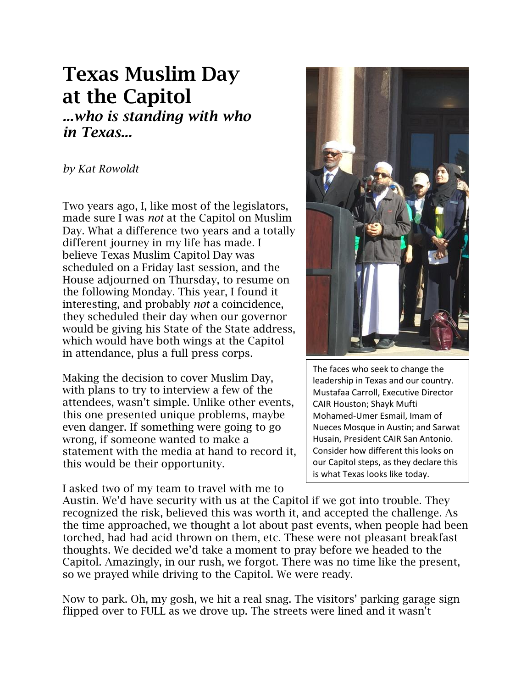# **Texas Muslim Day at the Capitol** *...who is standing with who*

*in Texas...*

## *by Kat Rowoldt*

Two years ago, I, like most of the legislators, made sure I was *not* at the Capitol on Muslim Day. What a difference two years and a totally different journey in my life has made. I believe Texas Muslim Capitol Day was scheduled on a Friday last session, and the House adjourned on Thursday, to resume on the following Monday. This year, I found it interesting, and probably *not* a coincidence, they scheduled their day when our governor would be giving his State of the State address, which would have both wings at the Capitol in attendance, plus a full press corps.

Making the decision to cover Muslim Day, with plans to try to interview a few of the attendees, wasn't simple. Unlike other events, this one presented unique problems, maybe even danger. If something were going to go wrong, if someone wanted to make a statement with the media at hand to record it, this would be their opportunity.

I asked two of my team to travel with me to



The faces who seek to change the leadership in Texas and our country. Mustafaa Carroll, Executive Director CAIR Houston; Shayk Mufti Mohamed-Umer Esmail, Imam of Nueces Mosque in Austin; and Sarwat Husain, President CAIR San Antonio. Consider how different this looks on our Capitol steps, as they declare this is what Texas looks like today.

Austin. We'd have security with us at the Capitol if we got into trouble. They recognized the risk, believed this was worth it, and accepted the challenge. As the time approached, we thought a lot about past events, when people had been torched, had had acid thrown on them, etc. These were not pleasant breakfast thoughts. We decided we'd take a moment to pray before we headed to the Capitol. Amazingly, in our rush, we forgot. There was no time like the present, so we prayed while driving to the Capitol. We were ready.

Now to park. Oh, my gosh, we hit a real snag. The visitors' parking garage sign flipped over to FULL as we drove up. The streets were lined and it wasn't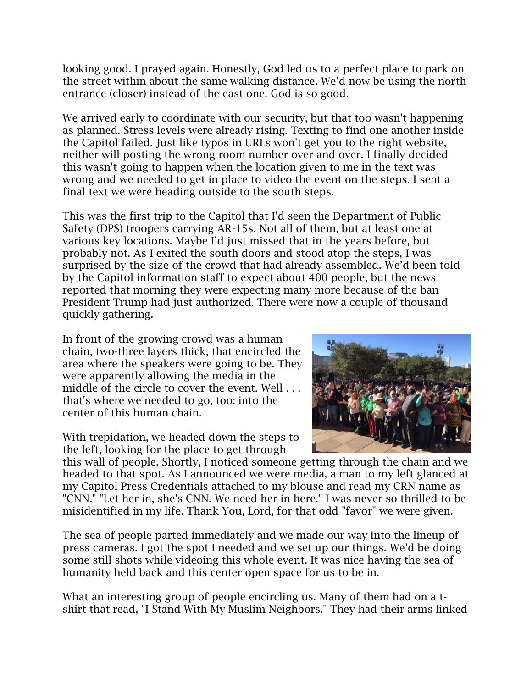looking good. I prayed again. Honestly, God led us to a perfect place to park on the street within about the same walking distance. We'd now be using the north entrance (closer) instead of the east one. God is so good.

We arrived early to coordinate with our security, but that too wasn't happening as planned. Stress levels were already rising. Texting to find one another inside the Capitol failed. Just like typos in URLs won't get you to the right website, neither will posting the wrong room number over and over. I finally decided this wasn't going to happen when the location given to me in the text was wrong and we needed to get in place to video the event on the steps. I sent a final text we were heading outside to the south steps.

This was the first trip to the Capitol that I'd seen the Department of Public Safety (DPS) troopers carrying AR-15s. Not all of them, but at least one at various key locations. Maybe I'd just missed that in the years before, but probably not. As I exited the south doors and stood atop the steps, I was surprised by the size of the crowd that had already assembled. We'd been told by the Capitol information staff to expect about 400 people, but the news reported that morning they were expecting many more because of the ban President Trump had just authorized. There were now a couple of thousand quickly gathering.

In front of the growing crowd was a human chain, two-three layers thick, that encircled the area where the speakers were going to be. They were apparently allowing the media in the middle of the circle to cover the event. Well . . . that's where we needed to go, too: into the center of this human chain.

With trepidation, we headed down the steps to the left, looking for the place to get through



this wall of people. Shortly, I noticed someone getting through the chain and we headed to that spot. As I announced we were media, a man to my left glanced at my Capitol Press Credentials attached to my blouse and read my CRN name as "CNN." "Let her in, she's CNN. We need her in here." I was never so thrilled to be misidentified in my life. Thank You, Lord, for that odd "favor" we were given.

The sea of people parted immediately and we made our way into the lineup of press cameras. I got the spot I needed and we set up our things. We'd be doing some still shots while videoing this whole event. It was nice having the sea of humanity held back and this center open space for us to be in.

What an interesting group of people encircling us. Many of them had on a tshirt that read, "I Stand With My Muslim Neighbors." They had their arms linked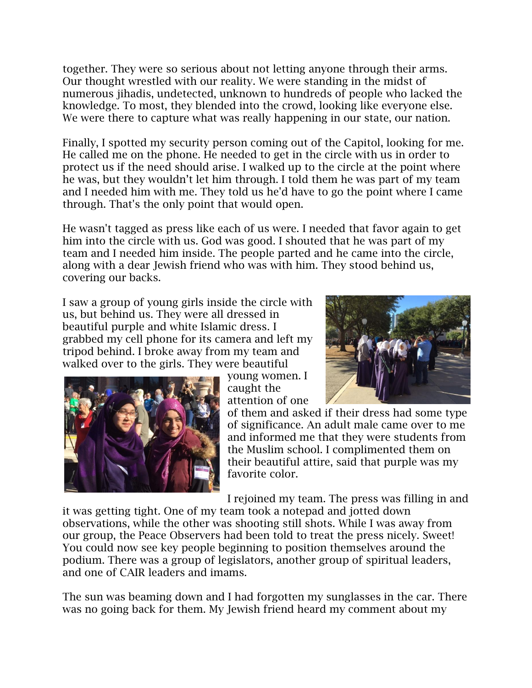together. They were so serious about not letting anyone through their arms. Our thought wrestled with our reality. We were standing in the midst of numerous jihadis, undetected, unknown to hundreds of people who lacked the knowledge. To most, they blended into the crowd, looking like everyone else. We were there to capture what was really happening in our state, our nation.

Finally, I spotted my security person coming out of the Capitol, looking for me. He called me on the phone. He needed to get in the circle with us in order to protect us if the need should arise. I walked up to the circle at the point where he was, but they wouldn't let him through. I told them he was part of my team and I needed him with me. They told us he'd have to go the point where I came through. That's the only point that would open.

He wasn't tagged as press like each of us were. I needed that favor again to get him into the circle with us. God was good. I shouted that he was part of my team and I needed him inside. The people parted and he came into the circle, along with a dear Jewish friend who was with him. They stood behind us, covering our backs.

I saw a group of young girls inside the circle with us, but behind us. They were all dressed in beautiful purple and white Islamic dress. I grabbed my cell phone for its camera and left my tripod behind. I broke away from my team and walked over to the girls. They were beautiful



young women. I caught the attention of one

of them and asked if their dress had some type of significance. An adult male came over to me and informed me that they were students from the Muslim school. I complimented them on their beautiful attire, said that purple was my favorite color.

I rejoined my team. The press was filling in and

it was getting tight. One of my team took a notepad and jotted down observations, while the other was shooting still shots. While I was away from our group, the Peace Observers had been told to treat the press nicely. Sweet! You could now see key people beginning to position themselves around the podium. There was a group of legislators, another group of spiritual leaders, and one of CAIR leaders and imams.

The sun was beaming down and I had forgotten my sunglasses in the car. There was no going back for them. My Jewish friend heard my comment about my

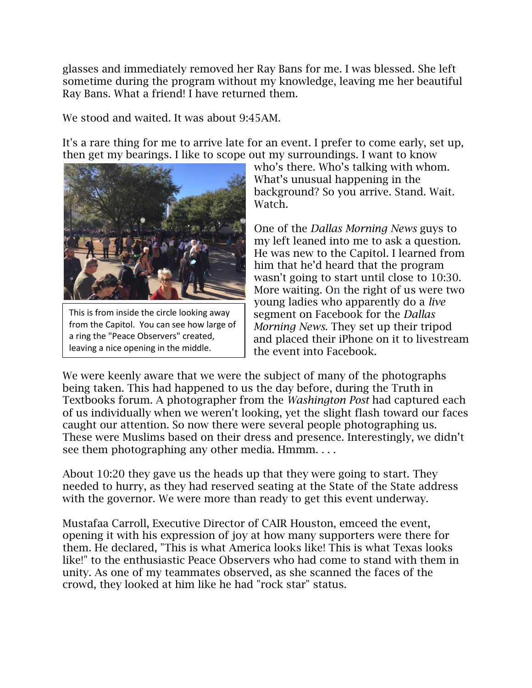glasses and immediately removed her Ray Bans for me. I was blessed. She left sometime during the program without my knowledge, leaving me her beautiful Ray Bans. What a friend! I have returned them.

We stood and waited. It was about 9:45AM.

It's a rare thing for me to arrive late for an event. I prefer to come early, set up, then get my bearings. I like to scope out my surroundings. I want to know



This is from inside the circle looking away from the Capitol. You can see how large of a ring the "Peace Observers" created, leaving a nice opening in the middle.

who's there. Who's talking with whom. What's unusual happening in the background? So you arrive. Stand. Wait. Watch.

One of the *Dallas Morning News* guys to my left leaned into me to ask a question. He was new to the Capitol. I learned from him that he'd heard that the program wasn't going to start until close to [10:30.](x-apple-data-detectors://embedded-result/6790) More waiting. On the right of us were two young ladies who apparently do a *live* segment on Facebook for the *Dallas Morning News*. They set up their tripod and placed their iPhone on it to livestream the event into Facebook.

We were keenly aware that we were the subject of many of the photographs being taken. This had happened to us the day before, during the Truth in Textbooks forum. A photographer from the *Washington Post* had captured each of us individually when we weren't looking, yet the slight flash toward our faces caught our attention. So now there were several people photographing us. These were Muslims based on their dress and presence. Interestingly, we didn't see them photographing any other media. Hmmm. . . .

About [10:20](x-apple-data-detectors://embedded-result/7620) they gave us the heads up that they were going to start. They needed to hurry, as they had reserved seating at the State of the State address with the governor. We were more than ready to get this event underway.

Mustafaa Carroll, Executive Director of CAIR Houston, emceed the event, opening it with his expression of joy at how many supporters were there for them. He declared, "This is what America looks like! This is what Texas looks like!" to the enthusiastic Peace Observers who had come to stand with them in unity. As one of my teammates observed, as she scanned the faces of the crowd, they looked at him like he had "rock star" status.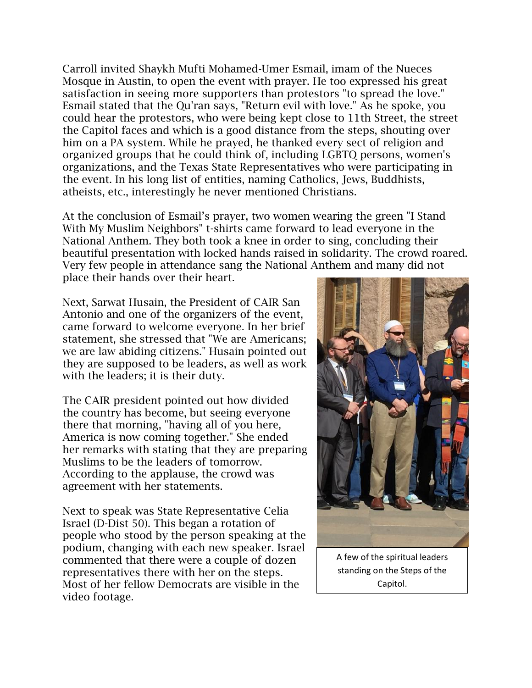Carroll invited Shaykh Mufti Mohamed-Umer Esmail, imam of the Nueces Mosque in Austin, to open the event with prayer. He too expressed his great satisfaction in seeing more supporters than protestors "to spread the love." Esmail stated that the Qu'ran says, "Return evil with love." As he spoke, you could hear the protestors, who were being kept close to 11th Street, the street the Capitol faces and which is a good distance from the steps, shouting over him on a PA system. While he prayed, he thanked every sect of religion and organized groups that he could think of, including LGBTQ persons, women's organizations, and the Texas State Representatives who were participating in the event. In his long list of entities, naming Catholics, Jews, Buddhists, atheists, etc., interestingly he never mentioned Christians.

At the conclusion of Esmail's prayer, two women wearing the green "I Stand With My Muslim Neighbors" t-shirts came forward to lead everyone in the National Anthem. They both took a knee in order to sing, concluding their beautiful presentation with locked hands raised in solidarity. The crowd roared. Very few people in attendance sang the National Anthem and many did not place their hands over their heart.

Next, Sarwat Husain, the President of CAIR San Antonio and one of the organizers of the event, came forward to welcome everyone. In her brief statement, she stressed that "We are Americans; we are law abiding citizens." Husain pointed out they are supposed to be leaders, as well as work with the leaders; it is their duty.

The CAIR president pointed out how divided the country has become, but seeing everyone there that morning, "having all of you here, America is now coming together." She ended her remarks with stating that they are preparing Muslims to be the leaders of tomorrow. According to the applause, the crowd was agreement with her statements.

Next to speak was State Representative Celia Israel (D-Dist 50). This began a rotation of people who stood by the person speaking at the podium, changing with each new speaker. Israel commented that there were a couple of dozen representatives there with her on the steps. Most of her fellow Democrats are visible in the video footage.



A few of the spiritual leaders standing on the Steps of the Capitol.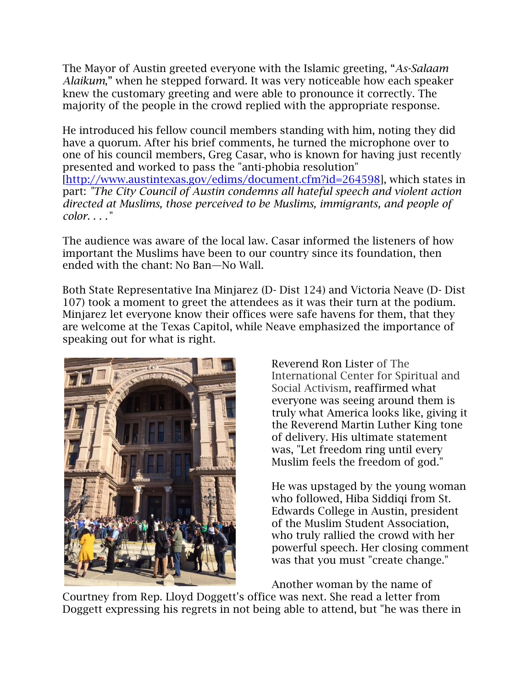The Mayor of Austin greeted everyone with the Islamic greeting, "*As-Salaam Alaikum*," when he stepped forward. It was very noticeable how each speaker knew the customary greeting and were able to pronounce it correctly. The majority of the people in the crowd replied with the appropriate response.

He introduced his fellow council members standing with him, noting they did have a quorum. After his brief comments, he turned the microphone over to one of his council members, Greg Casar, who is known for having just recently presented and worked to pass the "anti-phobia resolution" [\[http://www.austintexas.gov/edims/document.cfm?id=264598\]](http://www.austintexas.gov/edims/document.cfm?id=264598), which states in part: *"The City Council of Austin condemns all hateful speech and violent action directed at Muslims, those perceived to be Muslims, immigrants, and people of color. . . ."*

The audience was aware of the local law. Casar informed the listeners of how important the Muslims have been to our country since its foundation, then ended with the chant: No Ban—No Wall.

Both State Representative Ina Minjarez (D- Dist 124) and Victoria Neave (D- Dist 107) took a moment to greet the attendees as it was their turn at the podium. Minjarez let everyone know their offices were safe havens for them, that they are welcome at the Texas Capitol, while Neave emphasized the importance of speaking out for what is right.



Reverend Ron Lister of The International Center for Spiritual and Social Activism, reaffirmed what everyone was seeing around them is truly what America looks like, giving it the Reverend Martin Luther King tone of delivery. His ultimate statement was, "Let freedom ring until every Muslim feels the freedom of god."

He was upstaged by the young woman who followed, Hiba Siddiqi from St. Edwards College in Austin, president of the Muslim Student Association, who truly rallied the crowd with her powerful speech. Her closing comment was that you must "create change."

Another woman by the name of

Courtney from Rep. Lloyd Doggett's office was next. She read a letter from Doggett expressing his regrets in not being able to attend, but "he was there in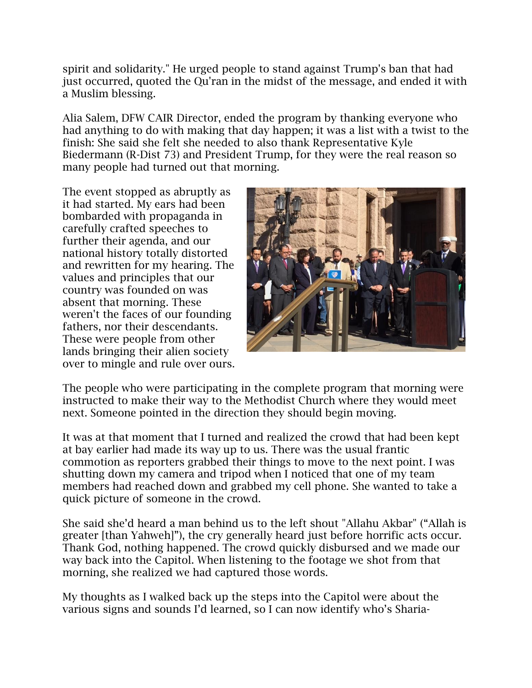spirit and solidarity." He urged people to stand against Trump's ban that had just occurred, quoted the Qu'ran in the midst of the message, and ended it with a Muslim blessing.

Alia Salem, DFW CAIR Director, ended the program by thanking everyone who had anything to do with making that day happen; it was a list with a twist to the finish: She said she felt she needed to also thank Representative Kyle Biedermann (R-Dist 73) and President Trump, for they were the real reason so many people had turned out that morning.

The event stopped as abruptly as it had started. My ears had been bombarded with propaganda in carefully crafted speeches to further their agenda, and our national history totally distorted and rewritten for my hearing. The values and principles that our country was founded on was absent that morning. These weren't the faces of our founding fathers, nor their descendants. These were people from other lands bringing their alien society over to mingle and rule over ours.



The people who were participating in the complete program that morning were instructed to make their way to the Methodist Church where they would meet next. Someone pointed in the direction they should begin moving.

It was at that moment that I turned and realized the crowd that had been kept at bay earlier had made its way up to us. There was the usual frantic commotion as reporters grabbed their things to move to the next point. I was shutting down my camera and tripod when I noticed that one of my team members had reached down and grabbed my cell phone. She wanted to take a quick picture of someone in the crowd.

She said she'd heard a man behind us to the left shout "Allahu Akbar" ("Allah is greater [than Yahweh]"), the cry generally heard just before horrific acts occur. Thank God, nothing happened. The crowd quickly disbursed and we made our way back into the Capitol. When listening to the footage we shot from that morning, she realized we had captured those words.

My thoughts as I walked back up the steps into the Capitol were about the various signs and sounds I'd learned, so I can now identify who's Sharia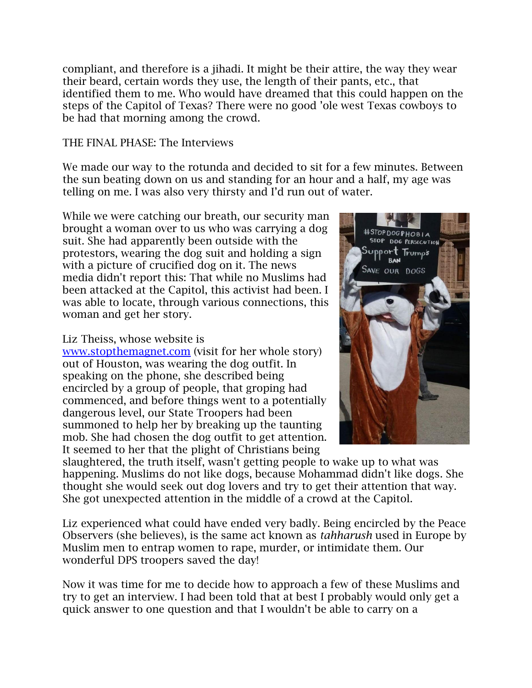compliant, and therefore is a jihadi. It might be their attire, the way they wear their beard, certain words they use, the length of their pants, etc., that identified them to me. Who would have dreamed that this could happen on the steps of the Capitol of Texas? There were no good 'ole west Texas cowboys to be had that morning among the crowd.

#### THE FINAL PHASE: The Interviews

We made our way to the rotunda and decided to sit for a few minutes. Between the sun beating down on us and standing for an hour and a half, my age was telling on me. I was also very thirsty and I'd run out of water.

While we were catching our breath, our security man brought a woman over to us who was carrying a dog suit. She had apparently been outside with the protestors, wearing the dog suit and holding a sign with a picture of crucified dog on it. The news media didn't report this: That while no Muslims had been attacked at the Capitol, this activist had been. I was able to locate, through various connections, this woman and get her story.

## Liz Theiss, whose website is

[www.stopthemagnet.com](http://www.stopthemagnet.com/) (visit for her whole story) out of Houston, was wearing the dog outfit. In speaking on the phone, she described being encircled by a group of people, that groping had commenced, and before things went to a potentially dangerous level, our State Troopers had been summoned to help her by breaking up the taunting mob. She had chosen the dog outfit to get attention. It seemed to her that the plight of Christians being



slaughtered, the truth itself, wasn't getting people to wake up to what was happening. Muslims do not like dogs, because Mohammad didn't like dogs. She thought she would seek out dog lovers and try to get their attention that way. She got unexpected attention in the middle of a crowd at the Capitol.

Liz experienced what could have ended very badly. Being encircled by the Peace Observers (she believes), is the same act known as *tahharush* used in Europe by Muslim men to entrap women to rape, murder, or intimidate them. Our wonderful DPS troopers saved the day!

Now it was time for me to decide how to approach a few of these Muslims and try to get an interview. I had been told that at best I probably would only get a quick answer to one question and that I wouldn't be able to carry on a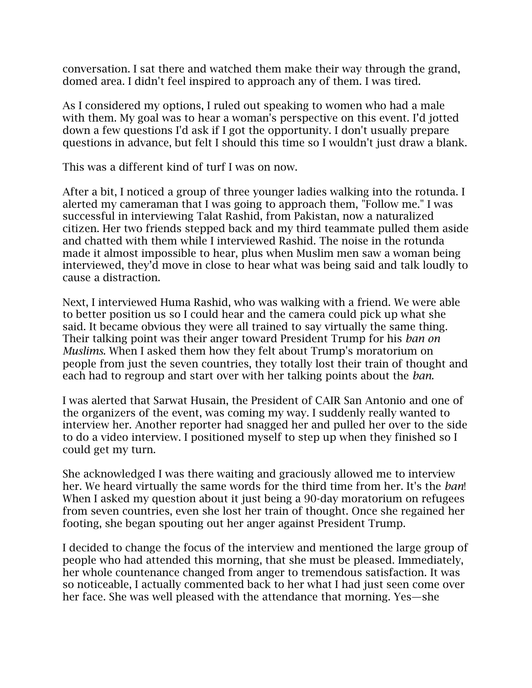conversation. I sat there and watched them make their way through the grand, domed area. I didn't feel inspired to approach any of them. I was tired.

As I considered my options, I ruled out speaking to women who had a male with them. My goal was to hear a woman's perspective on this event. I'd jotted down a few questions I'd ask if I got the opportunity. I don't usually prepare questions in advance, but felt I should this time so I wouldn't just draw a blank.

This was a different kind of turf I was on now.

After a bit, I noticed a group of three younger ladies walking into the rotunda. I alerted my cameraman that I was going to approach them, "Follow me." I was successful in interviewing Talat Rashid, from Pakistan, now a naturalized citizen. Her two friends stepped back and my third teammate pulled them aside and chatted with them while I interviewed Rashid. The noise in the rotunda made it almost impossible to hear, plus when Muslim men saw a woman being interviewed, they'd move in close to hear what was being said and talk loudly to cause a distraction.

Next, I interviewed Huma Rashid, who was walking with a friend. We were able to better position us so I could hear and the camera could pick up what she said. It became obvious they were all trained to say virtually the same thing. Their talking point was their anger toward President Trump for his *ban on Muslims*. When I asked them how they felt about Trump's moratorium on people from just the seven countries, they totally lost their train of thought and each had to regroup and start over with her talking points about the *ban*.

I was alerted that Sarwat Husain, the President of CAIR San Antonio and one of the organizers of the event, was coming my way. I suddenly really wanted to interview her. Another reporter had snagged her and pulled her over to the side to do a video interview. I positioned myself to step up when they finished so I could get my turn.

She acknowledged I was there waiting and graciously allowed me to interview her. We heard virtually the same words for the third time from her. It's the *ban*! When I asked my question about it just being a 90-day moratorium on refugees from seven countries, even she lost her train of thought. Once she regained her footing, she began spouting out her anger against President Trump.

I decided to change the focus of the interview and mentioned the large group of people who had attended this morning, that she must be pleased. Immediately, her whole countenance changed from anger to tremendous satisfaction. It was so noticeable, I actually commented back to her what I had just seen come over her face. She was well pleased with the attendance that morning. Yes—she